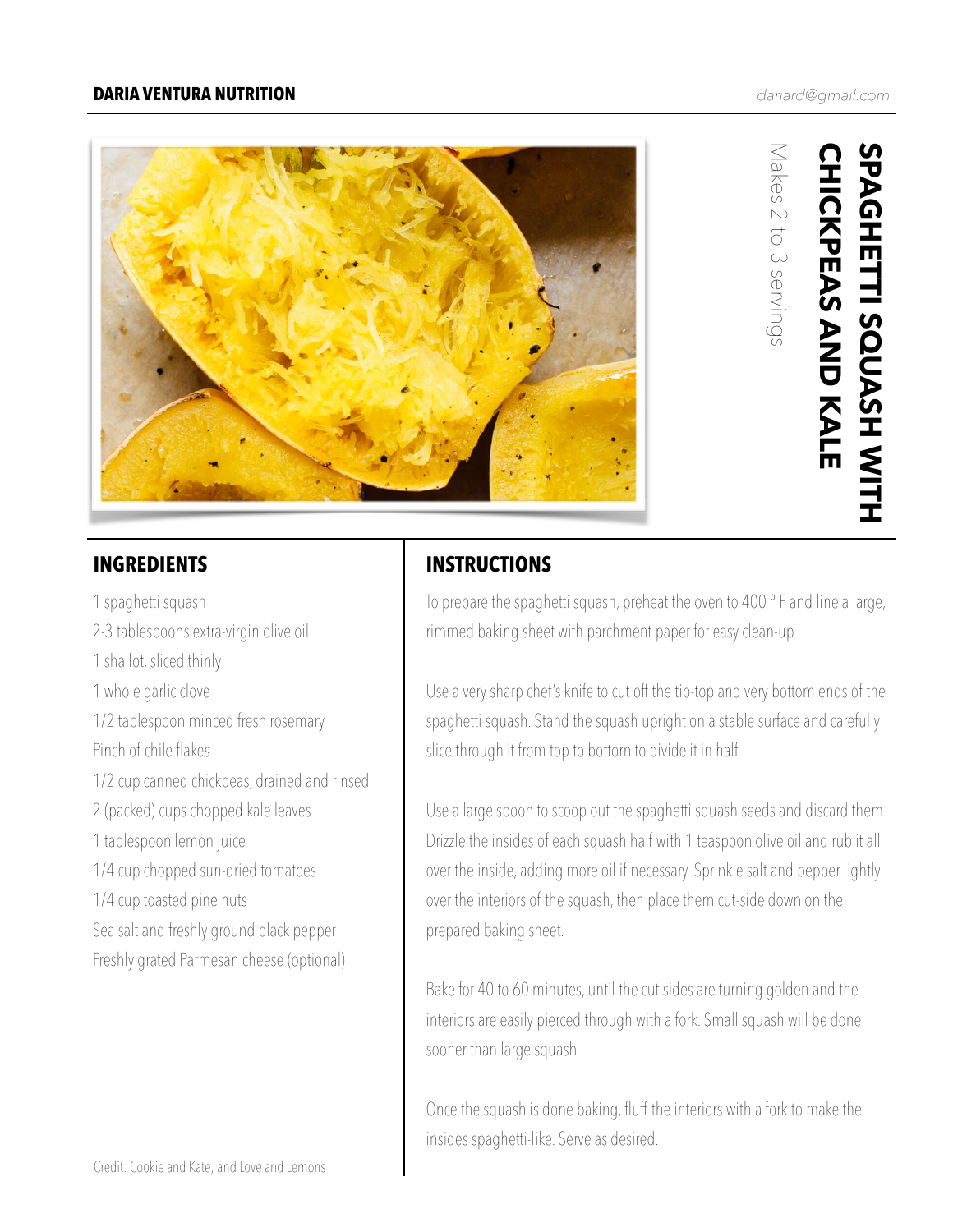

Makes 2 to 3 servings

Makes 2 to 3 servings

1 spaghetti squash 2-3 tablespoons extra-virgin olive oil 1 shallot, sliced thinly 1 whole garlic clove 1/2 tablespoon minced fresh rosemary Pinch of chile flakes 1/2 cup canned chickpeas, drained and rinsed 2 (packed) cups chopped kale leaves 1 tablespoon lemon juice 1/4 cup chopped sun-dried tomatoes 1/4 cup toasted pine nuts Sea salt and freshly ground black pepper Freshly grated Parmesan cheese (optional)

## **INGREDIENTS INSTRUCTIONS**

To prepare the spaghetti squash, preheat the oven to 400 ° F and line a large, rimmed baking sheet with parchment paper for easy clean-up.

Use a very sharp chef's knife to cut off the tip-top and very bottom ends of the spaghetti squash. Stand the squash upright on a stable surface and carefully slice through it from top to bottom to divide it in half.

Use a large spoon to scoop out the spaghetti squash seeds and discard them. Drizzle the insides of each squash half with 1 teaspoon olive oil and rub it all over the inside, adding more oil if necessary. Sprinkle salt and pepper lightly over the interiors of the squash, then place them cut-side down on the prepared baking sheet.

Bake for 40 to 60 minutes, until the cut sides are turning golden and the interiors are easily pierced through with a fork. Small squash will be done sooner than large squash.

Once the squash is done baking, fluff the interiors with a fork to make the insides spaghetti-like. Serve as desired.